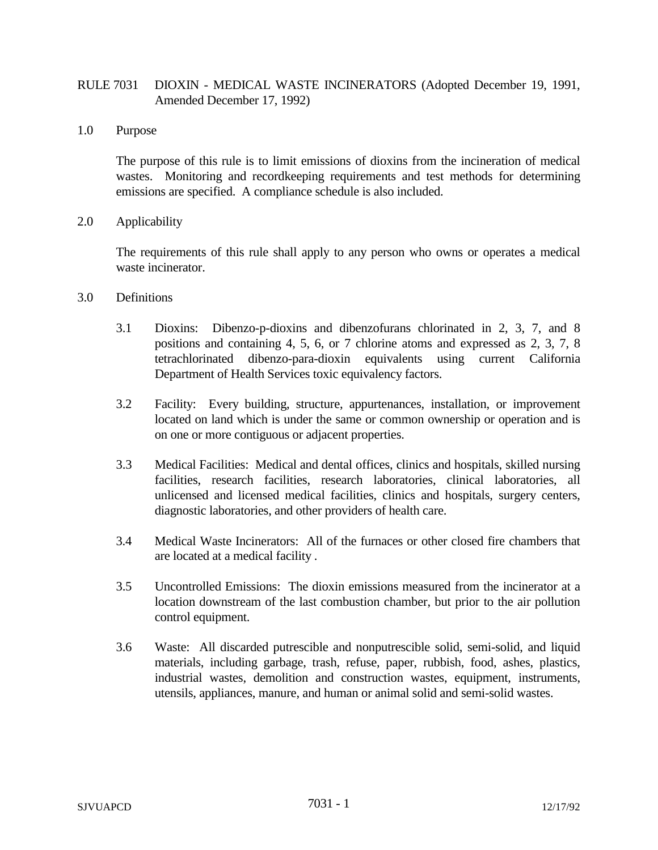# RULE 7031 DIOXIN - MEDICAL WASTE INCINERATORS (Adopted December 19, 1991, Amended December 17, 1992)

1.0 Purpose

The purpose of this rule is to limit emissions of dioxins from the incineration of medical wastes. Monitoring and recordkeeping requirements and test methods for determining emissions are specified. A compliance schedule is also included.

2.0 Applicability

The requirements of this rule shall apply to any person who owns or operates a medical waste incinerator.

- 3.0 Definitions
	- 3.1 Dioxins: Dibenzo-p-dioxins and dibenzofurans chlorinated in 2, 3, 7, and 8 positions and containing 4, 5, 6, or 7 chlorine atoms and expressed as 2, 3, 7, 8 tetrachlorinated dibenzo-para-dioxin equivalents using current California Department of Health Services toxic equivalency factors.
	- 3.2 Facility: Every building, structure, appurtenances, installation, or improvement located on land which is under the same or common ownership or operation and is on one or more contiguous or adjacent properties.
	- 3.3 Medical Facilities: Medical and dental offices, clinics and hospitals, skilled nursing facilities, research facilities, research laboratories, clinical laboratories, all unlicensed and licensed medical facilities, clinics and hospitals, surgery centers, diagnostic laboratories, and other providers of health care.
	- 3.4 Medical Waste Incinerators: All of the furnaces or other closed fire chambers that are located at a medical facility .
	- 3.5 Uncontrolled Emissions: The dioxin emissions measured from the incinerator at a location downstream of the last combustion chamber, but prior to the air pollution control equipment.
	- 3.6 Waste: All discarded putrescible and nonputrescible solid, semi-solid, and liquid materials, including garbage, trash, refuse, paper, rubbish, food, ashes, plastics, industrial wastes, demolition and construction wastes, equipment, instruments, utensils, appliances, manure, and human or animal solid and semi-solid wastes.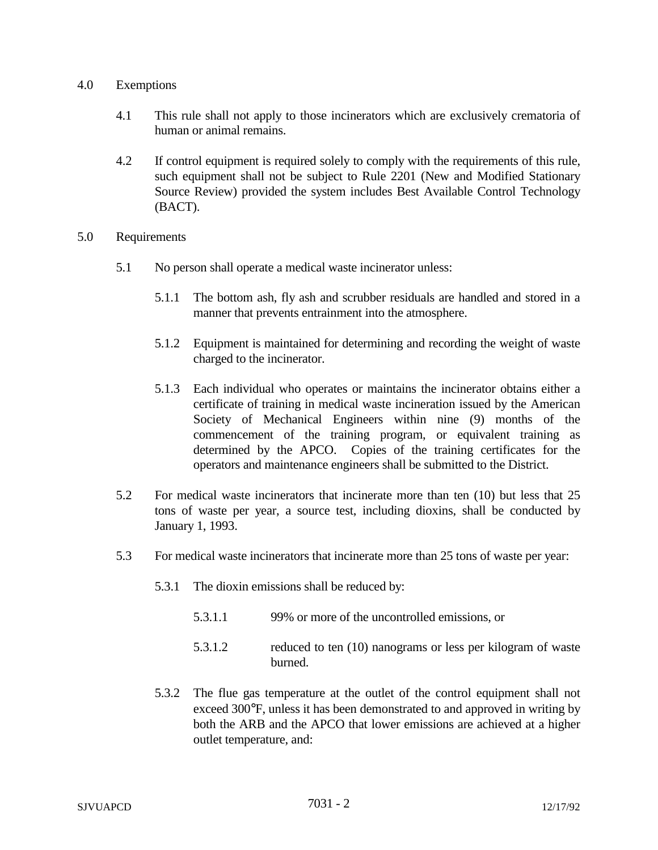### 4.0 Exemptions

- 4.1 This rule shall not apply to those incinerators which are exclusively crematoria of human or animal remains.
- 4.2 If control equipment is required solely to comply with the requirements of this rule, such equipment shall not be subject to Rule 2201 (New and Modified Stationary Source Review) provided the system includes Best Available Control Technology (BACT).
- 5.0 Requirements
	- 5.1 No person shall operate a medical waste incinerator unless:
		- 5.1.1 The bottom ash, fly ash and scrubber residuals are handled and stored in a manner that prevents entrainment into the atmosphere.
		- 5.1.2 Equipment is maintained for determining and recording the weight of waste charged to the incinerator.
		- 5.1.3 Each individual who operates or maintains the incinerator obtains either a certificate of training in medical waste incineration issued by the American Society of Mechanical Engineers within nine (9) months of the commencement of the training program, or equivalent training as determined by the APCO. Copies of the training certificates for the operators and maintenance engineers shall be submitted to the District.
	- 5.2 For medical waste incinerators that incinerate more than ten (10) but less that 25 tons of waste per year, a source test, including dioxins, shall be conducted by January 1, 1993.
	- 5.3 For medical waste incinerators that incinerate more than 25 tons of waste per year:
		- 5.3.1 The dioxin emissions shall be reduced by:
			- 5.3.1.1 99% or more of the uncontrolled emissions, or
			- 5.3.1.2 reduced to ten (10) nanograms or less per kilogram of waste burned.
		- 5.3.2 The flue gas temperature at the outlet of the control equipment shall not exceed 300°F, unless it has been demonstrated to and approved in writing by both the ARB and the APCO that lower emissions are achieved at a higher outlet temperature, and: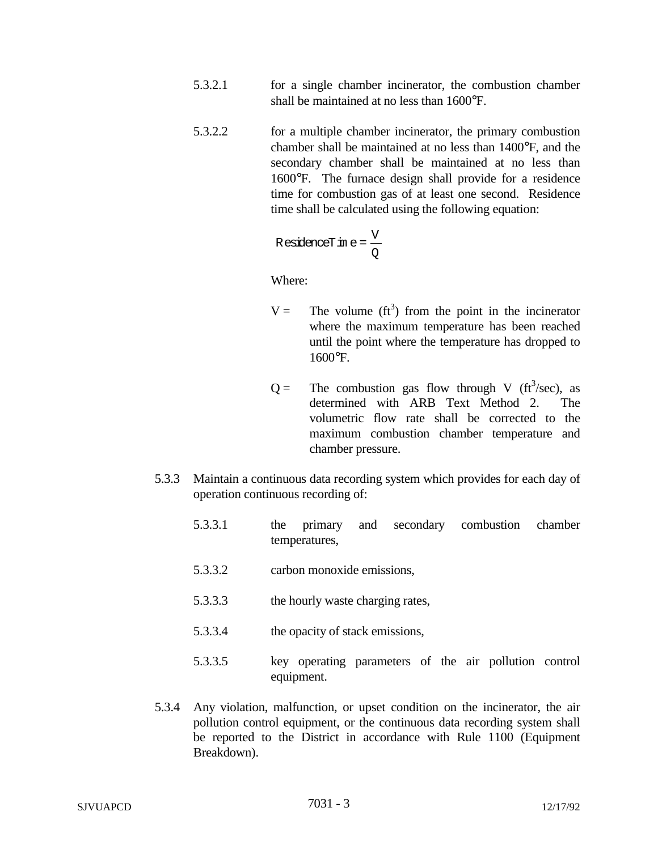- 5.3.2.1 for a single chamber incinerator, the combustion chamber shall be maintained at no less than 1600°F.
- 5.3.2.2 for a multiple chamber incinerator, the primary combustion chamber shall be maintained at no less than 1400°F, and the secondary chamber shall be maintained at no less than 1600°F. The furnace design shall provide for a residence time for combustion gas of at least one second. Residence time shall be calculated using the following equation:

$$
ResidenceTr \text{ in } e = \frac{V}{Q}
$$

Where:

- $V =$  The volume (ft<sup>3</sup>) from the point in the incinerator where the maximum temperature has been reached until the point where the temperature has dropped to 1600°F.
- $Q =$  The combustion gas flow through V (ft<sup>3</sup>/sec), as determined with ARB Text Method 2. The volumetric flow rate shall be corrected to the maximum combustion chamber temperature and chamber pressure.
- 5.3.3 Maintain a continuous data recording system which provides for each day of operation continuous recording of:
	- 5.3.3.1 the primary and secondary combustion chamber temperatures,
	- 5.3.3.2 carbon monoxide emissions,
	- 5.3.3.3 the hourly waste charging rates,
	- 5.3.3.4 the opacity of stack emissions,
	- 5.3.3.5 key operating parameters of the air pollution control equipment.
- 5.3.4 Any violation, malfunction, or upset condition on the incinerator, the air pollution control equipment, or the continuous data recording system shall be reported to the District in accordance with Rule 1100 (Equipment Breakdown).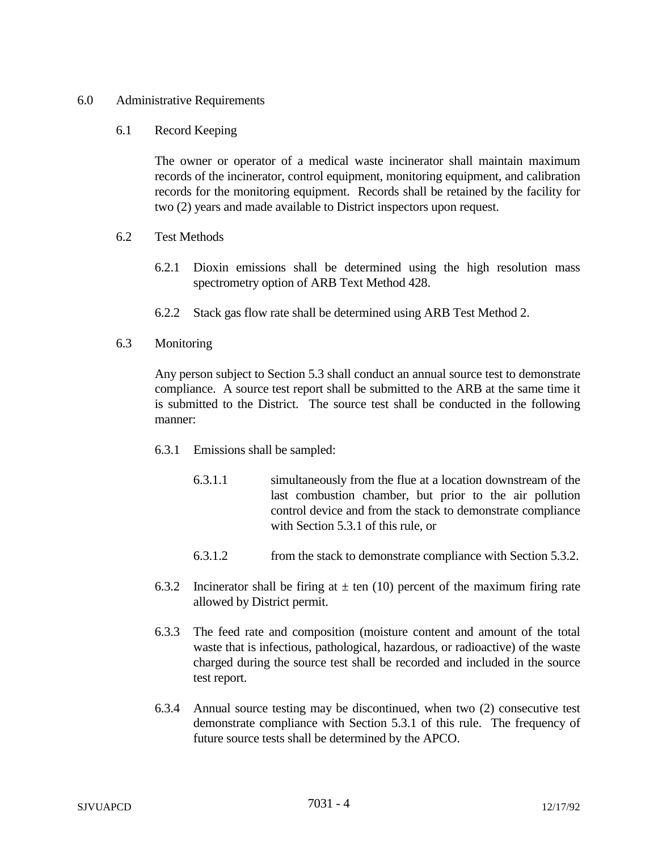### 6.0 Administrative Requirements

#### 6.1 Record Keeping

The owner or operator of a medical waste incinerator shall maintain maximum records of the incinerator, control equipment, monitoring equipment, and calibration records for the monitoring equipment. Records shall be retained by the facility for two (2) years and made available to District inspectors upon request.

- 6.2 Test Methods
	- 6.2.1 Dioxin emissions shall be determined using the high resolution mass spectrometry option of ARB Text Method 428.
	- 6.2.2 Stack gas flow rate shall be determined using ARB Test Method 2.
- 6.3 Monitoring

Any person subject to Section 5.3 shall conduct an annual source test to demonstrate compliance. A source test report shall be submitted to the ARB at the same time it is submitted to the District. The source test shall be conducted in the following manner:

- 6.3.1 Emissions shall be sampled:
	- 6.3.1.1 simultaneously from the flue at a location downstream of the last combustion chamber, but prior to the air pollution control device and from the stack to demonstrate compliance with Section 5.3.1 of this rule, or
	- 6.3.1.2 from the stack to demonstrate compliance with Section 5.3.2.
- 6.3.2 Incinerator shall be firing at  $\pm$  ten (10) percent of the maximum firing rate allowed by District permit.
- 6.3.3 The feed rate and composition (moisture content and amount of the total waste that is infectious, pathological, hazardous, or radioactive) of the waste charged during the source test shall be recorded and included in the source test report.
- 6.3.4 Annual source testing may be discontinued, when two (2) consecutive test demonstrate compliance with Section 5.3.1 of this rule. The frequency of future source tests shall be determined by the APCO.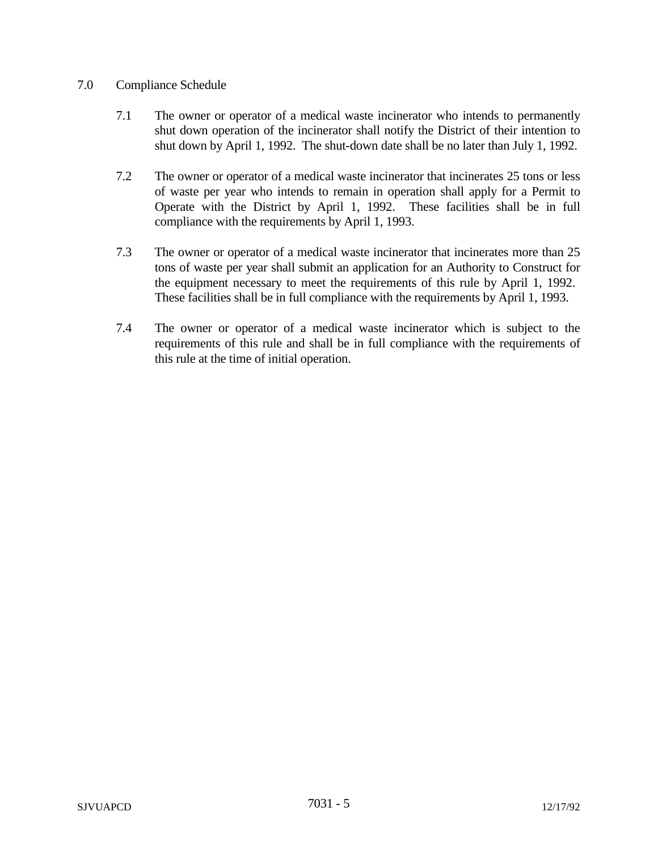## 7.0 Compliance Schedule

- 7.1 The owner or operator of a medical waste incinerator who intends to permanently shut down operation of the incinerator shall notify the District of their intention to shut down by April 1, 1992. The shut-down date shall be no later than July 1, 1992.
- 7.2 The owner or operator of a medical waste incinerator that incinerates 25 tons or less of waste per year who intends to remain in operation shall apply for a Permit to Operate with the District by April 1, 1992. These facilities shall be in full compliance with the requirements by April 1, 1993.
- 7.3 The owner or operator of a medical waste incinerator that incinerates more than 25 tons of waste per year shall submit an application for an Authority to Construct for the equipment necessary to meet the requirements of this rule by April 1, 1992. These facilities shall be in full compliance with the requirements by April 1, 1993.
- 7.4 The owner or operator of a medical waste incinerator which is subject to the requirements of this rule and shall be in full compliance with the requirements of this rule at the time of initial operation.